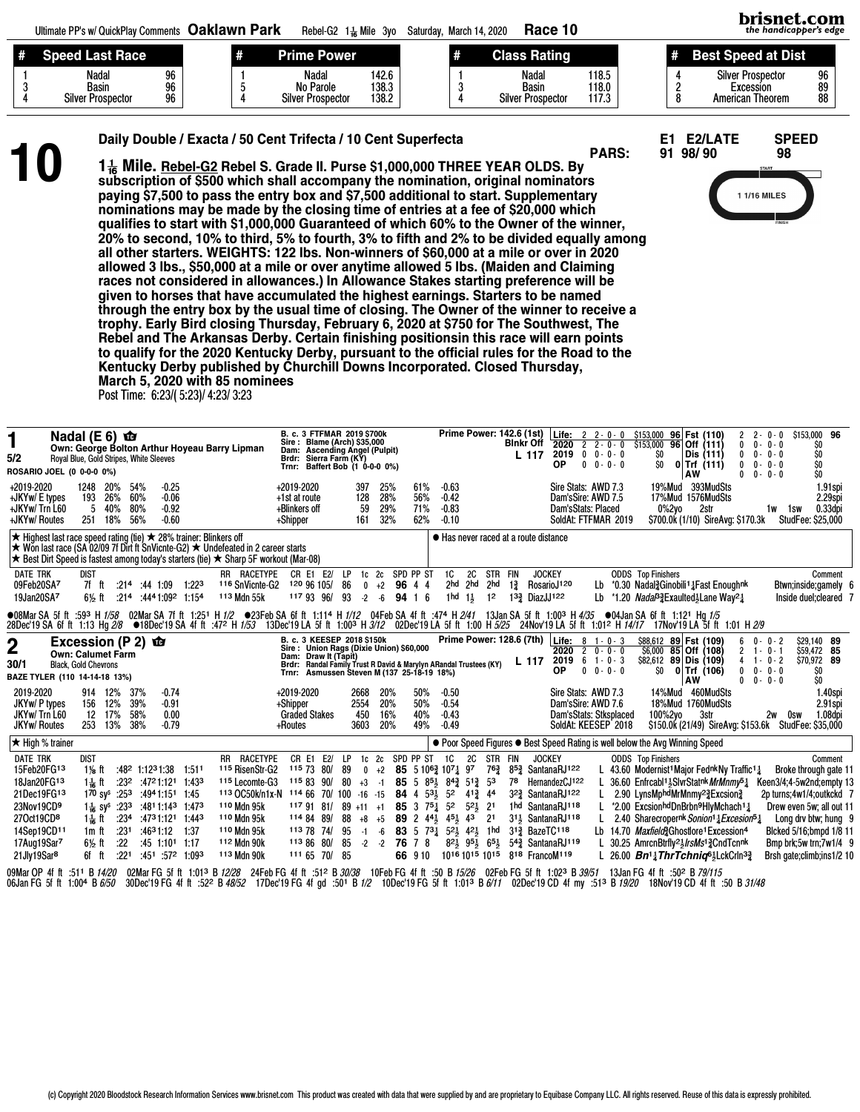| -# | <b>The Structure Property</b>                     |                | # | <b>Prime Power</b>                                    |                         | Rating<br>laaa.                                   |                         | st Speed at Dist                                                 |                |
|----|---------------------------------------------------|----------------|---|-------------------------------------------------------|-------------------------|---------------------------------------------------|-------------------------|------------------------------------------------------------------|----------------|
|    | <b>Nadal</b><br>Basin<br><b>Silver Prospector</b> | 96<br>96<br>96 |   | <b>Nadal</b><br>No Parole<br><b>Silver Prospector</b> | 142.6<br>138.3<br>138.2 | Nadal<br><b>Basin</b><br><b>Silver Prospector</b> | 118.5<br>118.0<br>117.3 | <b>Silver Prospector</b><br>Excession<br><b>American Theorem</b> | 96<br>89<br>88 |

Daily Double / Exacta / 50 Cent Trifecta / 10 Cent Superfecta E1 E2/LATE SPEED<br>
1 1 Mile. Rebel-G2 Rebel S. Grade II. Purse \$1,000,000 THREE YEAR OLDS. By<br>
subscription of \$500 which shall accompany the nomination, origina  $1\frac{1}{46}$  Mile. Rebel-G2 Rebel S. Grade II. Purse \$1,000,000 THREE YEAR OLDS. By paying \$7,500 to pass the entry box and \$7,500 additional to start. Supplementary nominations may be made by the closing time of entries at a fee of \$20,000 which qualifies to start with \$1,000,000 Guaranteed of which 60% to the Owner of the winner, 20% to second, 10% to third, 5% to fourth, 3% to fifth and 2% to be divided equally among all other starters. WEIGHTS: 122 lbs. Non-winners of \$60,000 at a mile or over in 2020 allowed 3 lbs., \$50,000 at a mile or over anytime allowed 5 lbs. (Maiden and Claiming races not considered in allowances.) In Allowance Stakes starting preference will be given to horses that have accumulated the highest earnings. Starters to be named through the entry box by the usual time of closing. The Owner of the winner to receive a trophy. Early Bird closing Thursday, February 6, 2020 at \$750 for The Southwest, The Rebel and The Arkansas Derby. Certain finishing positionsin this race will earn points to qualify for the 2020 Kentucky Derby, pursuant to the official rules for the Road to the Kentucky Derby published by Churchill Downs Incorporated. Closed Thursday, March 5, 2020 with 85 nominees



brisnet.com the handicapper's edge

Post Time: 6:23/( 5:23)/ 4:23/ 3:23

| 1<br>5/2<br>ROSARIO JOEL (0 0-0-0 0%)                                                                                                                                                                                                                                           | Nadal (E 6) $\mathbf{\hat{w}}$<br>Royal Blue, Gold Stripes, White Sleeves                     |                                                                                                        |                             |                                |                                                                                                                                                                                                                                                                                  | Own: George Bolton Arthur Hoyeau Barry Lipman |             |                                                                                                                                                                                             | Brdr:                                                    | <b>B. c. 3 FTFMAR 2019 \$700k</b><br>Sire: Blame (Arch) \$35,000<br>Dam: Ascending Angel (Pulpit)<br>Sierra Farm (KY)<br>Trnr: Baffert Bob (1 0-0-0 0%) |                                     |                                   |                                                          |                                               | Prime Power: 142.6 (1st)                                                                                                                                                                                                                                                                                                  |                                            |                                  | Blnkr Off      | L 117                                                                | ∣ Life:<br>$2020$ 2<br>2019 0<br><b>OP</b>                                                                                                                                                           | $2 \t2 - 0 - 0$<br>$0 \t 0 - 0 - 0$ | $2 - 0 - 0$<br>$0 - 0 - 0$ | \$153.000<br>\$153,000 96 Off (111)<br>SO<br>SO. |                                                                        | 96 Fst (110)<br>Dis (111)<br>$0$ Trf $(111)$<br>AW |                                                                                                                                                                                                                                                                                                                                                                                                                                                                                                                         | 2<br>$2 -$<br>$\mathbf{0}$<br>$\mathbf 0$<br>0<br>$\mathbf{0}$<br>$0 -$    | $0 - 0$<br>$0 - 0 - 0$<br>$0 - 0 - 0$<br>$0 - 0 - 0$<br>$0 - 0$ | \$153,000 96<br>\$O<br>SO<br>\$O<br>\$O                                                                                                                                                                             |                                  |
|---------------------------------------------------------------------------------------------------------------------------------------------------------------------------------------------------------------------------------------------------------------------------------|-----------------------------------------------------------------------------------------------|--------------------------------------------------------------------------------------------------------|-----------------------------|--------------------------------|----------------------------------------------------------------------------------------------------------------------------------------------------------------------------------------------------------------------------------------------------------------------------------|-----------------------------------------------|-------------|---------------------------------------------------------------------------------------------------------------------------------------------------------------------------------------------|----------------------------------------------------------|---------------------------------------------------------------------------------------------------------------------------------------------------------|-------------------------------------|-----------------------------------|----------------------------------------------------------|-----------------------------------------------|---------------------------------------------------------------------------------------------------------------------------------------------------------------------------------------------------------------------------------------------------------------------------------------------------------------------------|--------------------------------------------|----------------------------------|----------------|----------------------------------------------------------------------|------------------------------------------------------------------------------------------------------------------------------------------------------------------------------------------------------|-------------------------------------|----------------------------|--------------------------------------------------|------------------------------------------------------------------------|----------------------------------------------------|-------------------------------------------------------------------------------------------------------------------------------------------------------------------------------------------------------------------------------------------------------------------------------------------------------------------------------------------------------------------------------------------------------------------------------------------------------------------------------------------------------------------------|----------------------------------------------------------------------------|-----------------------------------------------------------------|---------------------------------------------------------------------------------------------------------------------------------------------------------------------------------------------------------------------|----------------------------------|
| +2019-2020<br>+JKYw/ E types<br>+JKYw/ Trn L60<br>+JKYw/ Routes                                                                                                                                                                                                                 |                                                                                               | 1248<br>193<br>5<br>251                                                                                | 20%<br>26%<br>40%<br>18%    | 54%<br>60%<br>80%<br>56%       | $-0.25$<br>$-0.06$<br>$-0.92$<br>$-0.60$                                                                                                                                                                                                                                         |                                               |             |                                                                                                                                                                                             | +2019-2020<br>+1st at route<br>+Blinkers off<br>+Shipper |                                                                                                                                                         |                                     | 397<br>128<br>59<br>161           | 25%<br>28%<br>29%<br>32%                                 | 61%<br>56%<br>71%<br>62%                      | $-0.63$<br>$-0.42$<br>$-0.83$<br>$-0.10$                                                                                                                                                                                                                                                                                  |                                            |                                  |                |                                                                      | Sire Stats: AWD 7.3<br>Dam'sSire: AWD 7.5<br>Dam'sStats: Placed<br>SoldAt: FTFMAR 2019                                                                                                               |                                     |                            |                                                  | 19%Mud 393MudSts<br>17%Mud 1576MudSts<br>0%2vo                         | 2str                                               | \$700.0k (1/10) SireAvg: \$170.3k                                                                                                                                                                                                                                                                                                                                                                                                                                                                                       |                                                                            | 1w                                                              | 1sw<br>StudFee: \$25,000                                                                                                                                                                                            | 1.91spi<br>2.29spi<br>$0.33$ dpi |
| <b>★ Highest last race speed rating (tie) ★ 28% trainer: Blinkers off</b><br>$\star$ Won last race (SA 02/09 7f Dirt ft SnVicnte-G2) $\star$ Undefeated in 2 career starts<br>$\star$ Best Dirt Speed is fastest among today's starters (tie) $\star$ Sharp 5F workout (Mar-08) |                                                                                               |                                                                                                        |                             |                                |                                                                                                                                                                                                                                                                                  |                                               |             |                                                                                                                                                                                             |                                                          |                                                                                                                                                         |                                     |                                   |                                                          |                                               | ● Has never raced at a route distance                                                                                                                                                                                                                                                                                     |                                            |                                  |                |                                                                      |                                                                                                                                                                                                      |                                     |                            |                                                  |                                                                        |                                                    |                                                                                                                                                                                                                                                                                                                                                                                                                                                                                                                         |                                                                            |                                                                 |                                                                                                                                                                                                                     |                                  |
| <b>DATE TRK</b><br>09Feb20SA7<br>19Jan20SA7                                                                                                                                                                                                                                     |                                                                                               | <b>DIST</b><br>7f ft<br>$6\frac{1}{2}$ ft                                                              |                             | $:214$ $:44$ 1:09              | $:214$ $:4441.092$ 1:154                                                                                                                                                                                                                                                         | 1:22 <sup>3</sup>                             | 113 Mdn 55k | RR RACETYPE<br><sup>116</sup> SnVicnte-G2                                                                                                                                                   |                                                          | CR E1 E2/<br>120 96 105/<br>117 93 96/                                                                                                                  | LP<br>86<br>93                      | $1c$ $2c$<br>$\mathbf{0}$<br>$-2$ | $+2$<br>-6                                               | SPD PP ST<br>96<br>44<br>94<br>1 <sub>6</sub> | 1C<br>2hd<br>1 hd                                                                                                                                                                                                                                                                                                         | <b>2C</b><br>2hd<br>$1\frac{1}{2}$         | STR FIN<br>2hd<br>1 <sup>2</sup> | $1\frac{3}{4}$ | <b>JOCKEY</b><br>1 <sup>3</sup> / <sub>2</sub> DiazJJ <sup>122</sup> | RosarioJ <sup>120</sup>                                                                                                                                                                              | Lb<br>Lb                            |                            | <b>ODDS</b> Top Finishers                        |                                                                        |                                                    | *0.30 Nadal? Ginobili <sup>1</sup> 1 Fast Enoughnk<br>*1.20 Nada <sup>p</sup> ?Exaulted <sup>3</sup> Lane Way <sup>21</sup>                                                                                                                                                                                                                                                                                                                                                                                             |                                                                            |                                                                 | Btwn;inside;gamely 6<br>Inside duel; cleared 7                                                                                                                                                                      | Comment                          |
| ●08Mar SA 5f ft :59 <sup>3</sup> H 1/5 <i>8</i><br>28Dec'19 SA 6f ft 1:13 Hg 2/8 ●18Dec'19 SA 4f ft :472 H 1/53  13Dec'19 LA 5f ft 1:00 <sup>3</sup> H 3/12  02Dec'19 LA 5f ft 1:00 H 5/25  24Nov'19 LA 5f ft 1:01 <del>2 H 14/17  17Nov'19 LA 5f ft</del> 1:01 H 2/9           |                                                                                               |                                                                                                        |                             |                                |                                                                                                                                                                                                                                                                                  |                                               |             | 02Mar SA 7f ft 1:251 H 1/2 ●23Feb SA 6f ft 1:114 H 1/12 04Feb SA 4f ft :474 H 2/41 13Jan SA 5f ft 1:003 H 4/35 ●04Jan SA 6f ft 1:121 Hg 1/5                                                 |                                                          |                                                                                                                                                         |                                     |                                   |                                                          |                                               |                                                                                                                                                                                                                                                                                                                           |                                            |                                  |                |                                                                      |                                                                                                                                                                                                      |                                     |                            |                                                  |                                                                        |                                                    |                                                                                                                                                                                                                                                                                                                                                                                                                                                                                                                         |                                                                            |                                                                 |                                                                                                                                                                                                                     |                                  |
| 2<br>30/1<br>BAZE TYLER (110 14-14-18 13%)                                                                                                                                                                                                                                      | Excession (P 2) $\hat{\mathbf{w}}$<br><b>Own: Calumet Farm</b><br><b>Black, Gold Chevrons</b> |                                                                                                        |                             |                                |                                                                                                                                                                                                                                                                                  |                                               |             |                                                                                                                                                                                             |                                                          | B. c. 3 KEESEP 2018 \$150k<br>Sire: Union Rags (Dixie Union) \$60,000<br>Dam: Draw It (Tapit)                                                           |                                     |                                   |                                                          |                                               | Prime Power: 128.6 (7th)<br>Brdr: Randal Family Trust R David & Marylyn ARandal Trustees (KY)<br>Trnr: Asmussen Steven M (137 25-18-19 18%)                                                                                                                                                                               |                                            |                                  |                | L 117                                                                | Life: $8 \t1 - 0 - 3$<br>$2020$ 2 0 - 0 - 0<br>$2019$ 6 1 - 0 - 3<br>ОP                                                                                                                              | $\mathbf{0}$                        | $0 - 0 - 0$                | SO.                                              | \$88.612 89 Fst (109)<br>\$6,000 85 Off (108)<br>\$82,612 89 Dis (109) | $0$ Trf (106)<br>AW                                |                                                                                                                                                                                                                                                                                                                                                                                                                                                                                                                         | $0 -$<br>6<br>$2 + 0 - 1$<br>$4$ 1 - 0 - 2<br>$\mathbf{0}$<br>$\mathbf{0}$ | $0 - 2$<br>$0 - 0 - 0$<br>$0 - 0 - 0$                           | \$29,140 89<br>\$59,472 85<br>\$70.972 89<br>\$O<br>\$O                                                                                                                                                             |                                  |
| 2019-2020<br>JKYw/ P types<br>JKYw/Trn L60<br><b>JKYw/ Routes</b>                                                                                                                                                                                                               |                                                                                               | 914 12%<br>156<br>12<br>253                                                                            | 12%<br>17%<br>13%           | 37%<br>39%<br>58%<br>38%       | $-0.74$<br>$-0.91$<br>0.00<br>$-0.79$                                                                                                                                                                                                                                            |                                               |             |                                                                                                                                                                                             | +2019-2020<br>+Shipper<br>+Routes                        | <b>Graded Stakes</b>                                                                                                                                    |                                     | 2668<br>2554<br>450<br>3603       | 20%<br>20%<br>16%<br>20%                                 | 50%<br>50%<br>40%<br>49%                      | $-0.50$<br>$-0.54$<br>$-0.43$<br>$-0.49$                                                                                                                                                                                                                                                                                  |                                            |                                  |                |                                                                      | Sire Stats: AWD 7.3<br>Dam'sSire: AWD 7.6<br>Dam'sStats: Stksplaced<br>SoldAt: KEESEP 2018                                                                                                           |                                     |                            |                                                  | 14%Mud 460MudSts<br>18%Mud 1760MudSts<br>100%2yo                       | 3str                                               |                                                                                                                                                                                                                                                                                                                                                                                                                                                                                                                         |                                                                            | 2w                                                              | 0sw<br>\$150.0k (21/49) SireAvg: \$153.6k StudFee: \$35,000                                                                                                                                                         | 1.40spi<br>2.91spi<br>1.08dpi    |
| $\star$ High % trainer                                                                                                                                                                                                                                                          |                                                                                               |                                                                                                        |                             |                                |                                                                                                                                                                                                                                                                                  |                                               |             |                                                                                                                                                                                             |                                                          |                                                                                                                                                         |                                     |                                   |                                                          |                                               |                                                                                                                                                                                                                                                                                                                           |                                            |                                  |                |                                                                      | • Poor Speed Figures • Best Speed Rating is well below the Avg Winning Speed                                                                                                                         |                                     |                            |                                                  |                                                                        |                                                    |                                                                                                                                                                                                                                                                                                                                                                                                                                                                                                                         |                                                                            |                                                                 |                                                                                                                                                                                                                     |                                  |
| <b>DATE TRK</b><br>15Feb20FG13<br>18Jan20FG13<br>21Dec19FG13<br>23Nov19CD9<br>27Oct19CD <sup>8</sup><br>14Sep19CD11<br>17Aug19Sar7<br>21Jly19Sar <sup>8</sup>                                                                                                                   |                                                                                               | <b>DIST</b><br>$1\frac{1}{8}$ ft<br>$1\frac{1}{16}$ ft<br>11 ft<br>1m ft<br>$6\frac{1}{2}$ ft<br>6f ft | :234<br>:231<br>:22<br>:221 | $:48^2$ 1:12 <sup>3</sup> 1:38 | $:23^2$ $:47^21:12^1$ 1:433<br>170 sy <sup>s</sup> :253 :494 1:151 1:45<br>1 <sup>1</sup> / <sub>16</sub> sy <sup>s</sup> :23 <sup>3</sup> :48 <sup>1</sup> 1:14 <sup>3</sup> 1:47 <sup>3</sup><br>:4731:121 1:443<br>:4631:12<br>$:45$ 1:10 <sup>1</sup> 1:17<br>:451:572:1:093 | 1:511<br>1:37                                 |             | RR RACETYPE<br><sup>115</sup> RisenStr-G2<br>115 Lecomte-G3<br>113 OC50k/n1x-N 114 66 70/ 100 -16 -15 84 4 53 52<br>110 Mdn 95k<br>110 Mdn 95k<br>110 Mdn 95k<br>112 Mdn 90k<br>113 Mdn 90k |                                                          | CR E1 E2/<br>115 73 80/<br>115 83 90/<br>1179181/<br>114 84 89/<br>113 78 74 95<br>113 86 80/<br>1116570/                                               | LP<br>-89<br>80<br>88<br>85<br>- 85 | $+3$ -1<br>$-1 -6$<br>$-2 - 2$    | 1c 2c SPD PP ST<br>$89 + 11 + 1$ 85 3 $75\frac{1}{4}$ 52 | 76 7 8<br>66 910                              | <b>1C</b><br>$0 +2$ 85 5 10 <sup>63</sup> / <sub>2</sub> 10 <sup>7</sup> / <sub>4</sub> 9 <sup>7</sup><br>85 5 851 843 513 53<br>$+8$ $+5$ 89 2 4 <sup>41</sup> / <sub>3</sub> 4 <sup>51</sup> / <sub>3</sub> 4 <sup>3</sup><br>83 5 731 521 421 1hd<br>$82\frac{1}{2}$ $95\frac{1}{2}$ $65\frac{1}{2}$<br>1016 1015 1015 | <b>2C</b><br>413, 44<br>$52\frac{1}{2}$ 21 | STR FIN<br>2 <sup>1</sup>        | 78             | <b>JOCKEY</b><br>313 BazeTC118                                       | 76 <sup>3</sup> 8 <sup>53</sup> SantanaRJ122<br>HernandezCJ122<br>323 SantanaRJ122<br>1hd SantanaRJ118<br>3 <sup>1</sup> <sup>3</sup> SantanaRJ <sup>118</sup><br>543 SantanaRJ119<br>818 FrancoM119 |                                     |                            | <b>ODDS</b> Top Finishers                        |                                                                        |                                                    | L 43.60 Modernist <sup>1</sup> Major Fednk Ny Traffic <sup>1</sup> <sup>1</sup><br>36.60 Enfrcabl <sup>11</sup> <sub>5</sub> SlvrStatnk MrMnmy <sup>51</sup><br>2.90 LynsMphdMrMnmy23Excsion3<br>*2.00 ExcsionhdDnBrbn9HlvMchach14<br>2.40 Sharecropernk Sonion <sup>1</sup> 1 Excesion <sup>51</sup><br>Lb 14.70 Maxfield% Ghostlore <sup>1</sup> Excession <sup>4</sup><br>30.25 AmrcnBtrfly <sup>21</sup> /rsMs <sup>13</sup> /2CndTcnnk<br>L 26.00 <b>Bn<sup>1</sup>1ThrTchnig<sup>61</sup>LckCrln<sup>32</sup></b> |                                                                            |                                                                 | Broke through gate 11<br>Keen3/4;4-5w2nd;empty 13<br>2p turns;4w1/4;outkckd 7<br>Drew even 5w; all out 11<br>Long dry btw; hung 9<br>Blcked 5/16;bmpd 1/8 11<br>Bmp brk;5w trn;7w1/4 9<br>Brsh gate;climb;ins1/2 10 | Comment                          |
| 09Mar OP 4f ft :511 B 14/20                                                                                                                                                                                                                                                     |                                                                                               |                                                                                                        |                             |                                |                                                                                                                                                                                                                                                                                  |                                               |             | 02Mar FG 5f ft 1:01 <sup>3</sup> B 12/28 24Feb FG 4f ft :51 <sup>2</sup> B 30/38                                                                                                            |                                                          |                                                                                                                                                         |                                     |                                   |                                                          |                                               | 10 Feb FG 4f ft :50 B 15/26                                                                                                                                                                                                                                                                                               |                                            |                                  |                |                                                                      | 02Feb FG 5f ft 1:023 B 39/51                                                                                                                                                                         |                                     |                            | 13Jan FG 4f ft :50 <sup>2</sup> B 79/115         |                                                                        |                                                    |                                                                                                                                                                                                                                                                                                                                                                                                                                                                                                                         |                                                                            |                                                                 |                                                                                                                                                                                                                     |                                  |

09MarOP 4fft :511 B*14/20* 02MarFG 5fft 1:013 B*12/28* 24FebFG 4fft :512 B*30/38* 10FebFG 4fft :50 B*15/26* 02FebFG 5fft 1:023 B*39/51* 13JanFG 4fft :502 B*79/115*<br>06JanFG 5fft 1:004 B*6/50* 30Dec'19FG 4fft :522 B*48/52* 1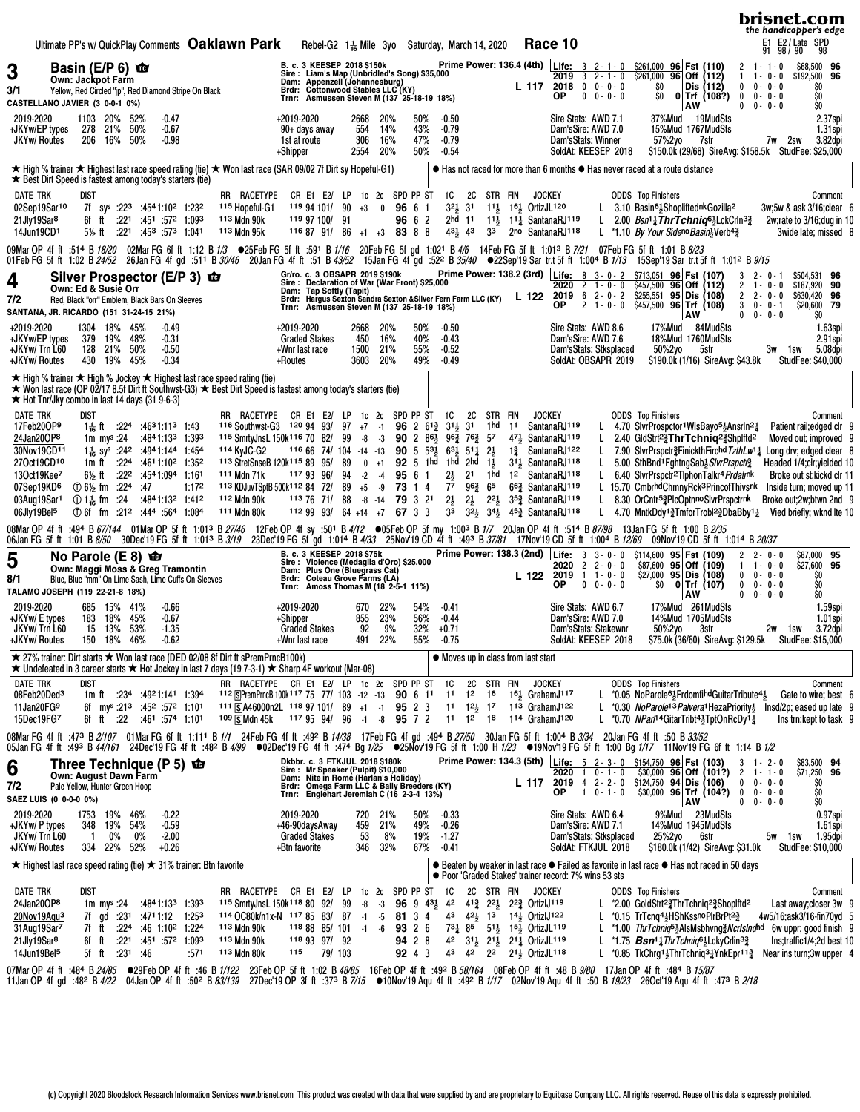| Ultimate PP's w/ QuickPlay Comments Oaklawn Park<br>Race 10<br>Rebel-G2 1 <sup>1</sup> / <sub>6</sub> Mile 3yo Saturday, March 14, 2020                                                                                                                                                                                                                                                                                                                                                                                                                                                                                                                                                                                                                                                                                                                                                                                                                                                                                                                                                                                                                                                                                                                                                                                                                                                                                                                                                                                                                                                                                                                                                                                                                                                                                                                                                                                                                                                                                                                                                                                                                                                                                                                                                                                                                                                                                                                                                                                 | brisnet.com<br>the handicapper's edge<br>E1 E2/Late SPD<br>91 98/90 98                                                                                                            |
|-------------------------------------------------------------------------------------------------------------------------------------------------------------------------------------------------------------------------------------------------------------------------------------------------------------------------------------------------------------------------------------------------------------------------------------------------------------------------------------------------------------------------------------------------------------------------------------------------------------------------------------------------------------------------------------------------------------------------------------------------------------------------------------------------------------------------------------------------------------------------------------------------------------------------------------------------------------------------------------------------------------------------------------------------------------------------------------------------------------------------------------------------------------------------------------------------------------------------------------------------------------------------------------------------------------------------------------------------------------------------------------------------------------------------------------------------------------------------------------------------------------------------------------------------------------------------------------------------------------------------------------------------------------------------------------------------------------------------------------------------------------------------------------------------------------------------------------------------------------------------------------------------------------------------------------------------------------------------------------------------------------------------------------------------------------------------------------------------------------------------------------------------------------------------------------------------------------------------------------------------------------------------------------------------------------------------------------------------------------------------------------------------------------------------------------------------------------------------------------------------------------------------|-----------------------------------------------------------------------------------------------------------------------------------------------------------------------------------|
| Prime Power: 136.4 (4th) Life: 3 2-1-0<br>B. c. 3 KEESEP 2018 \$150k<br>\$261,000 96 Fst (110)<br>Basin (E/P $6$ ) $\mathbf{\hat{w}}$<br>3<br>Sire: Liam's Map (Unbridled's Song) \$35,000<br>Dam: Appenzell (Johannesburg)<br>Brdr: Cottonwood Stables LLC (KY)<br>Trnr: Asmussen Steven M (137 25-18-19 18%)<br>$$261,000$ 96 Off (112)<br>$3 \t2 - 1 - 0$<br>2019<br><b>Own: Jackpot Farm</b><br>$2018$ 0 0 - 0 - 0<br>\$O<br>Dis (112)<br>$\mathbf 0$<br>L 117<br>3/1<br>Yellow, Red Circled "jp", Red Diamond Stripe On Black                                                                                                                                                                                                                                                                                                                                                                                                                                                                                                                                                                                                                                                                                                                                                                                                                                                                                                                                                                                                                                                                                                                                                                                                                                                                                                                                                                                                                                                                                                                                                                                                                                                                                                                                                                                                                                                                                                                                                                                      | $2 \t1 - 1 - 0$<br>\$68,500 96<br>$1 - 0 - 0$<br>\$192,500 96<br>$0 - 0 - 0$<br>SO                                                                                                |
| ΟP<br>$0 \t 0 - 0 - 0$<br>SO<br>$0$ Trf $(108?)$<br>$\bf{0}$<br>CASTELLANO JAVIER (3 0-0-1 0%)<br>AW<br>$\mathbf 0$<br>2019-2020<br>20%<br>$-0.47$<br>+2019-2020<br>Sire Stats: AWD 7.1<br>37%Mud<br>19MudSts<br>1103<br>52%<br>2668<br>20%<br>50%<br>$-0.50$                                                                                                                                                                                                                                                                                                                                                                                                                                                                                                                                                                                                                                                                                                                                                                                                                                                                                                                                                                                                                                                                                                                                                                                                                                                                                                                                                                                                                                                                                                                                                                                                                                                                                                                                                                                                                                                                                                                                                                                                                                                                                                                                                                                                                                                           | $0 - 0 - 0$<br>\$O<br>$0 - 0 - 0$<br>\$O<br>2.37spi                                                                                                                               |
| 554<br>43%<br>278 21% 50%<br>$-0.67$<br>14%<br>$-0.79$<br>Dam'sSire: AWD 7.0<br>15%Mud 1767MudSts<br>+JKYw/EP types<br>90+ days away<br>306<br>16%<br><b>JKYw/ Routes</b><br>206 16% 50%<br>$-0.98$<br>1st at route<br>47%<br>$-0.79$<br>Dam'sStats: Winner<br>57%2yo<br>7str<br>2554<br>20%<br>50%<br>$-0.54$<br>SoldAt: KEESEP 2018<br>\$150.0k (29/68) SireAvg: \$158.5k StudFee: \$25,000<br>+Shipper                                                                                                                                                                                                                                                                                                                                                                                                                                                                                                                                                                                                                                                                                                                                                                                                                                                                                                                                                                                                                                                                                                                                                                                                                                                                                                                                                                                                                                                                                                                                                                                                                                                                                                                                                                                                                                                                                                                                                                                                                                                                                                               | 1.31spi<br>7w 2sw<br>3.82dpi                                                                                                                                                      |
| ★ High % trainer ★ Highest last race speed rating (tie) ★ Won last race (SAR 09/02 7f Dirt sy Hopeful-G1)<br>● Has not raced for more than 6 months ● Has never raced at a route distance<br>★ Best Dirt Speed is fastest among today's starters (tie)                                                                                                                                                                                                                                                                                                                                                                                                                                                                                                                                                                                                                                                                                                                                                                                                                                                                                                                                                                                                                                                                                                                                                                                                                                                                                                                                                                                                                                                                                                                                                                                                                                                                                                                                                                                                                                                                                                                                                                                                                                                                                                                                                                                                                                                                  |                                                                                                                                                                                   |
| <b>DATE TRK</b><br>RR RACETYPE<br>1C<br>2C STR FIN<br>dist<br>CR E1 E2/ LP 1c 2c SPD PP ST<br><b>JOCKEY</b><br><b>ODDS</b> Top Finishers<br>02Sep19Sar10<br>321, 31<br>7f sy <sup>s</sup> :22 <sup>3</sup> :4541:10 <sup>2</sup> 1:23 <sup>2</sup><br><sup>115</sup> Hopeful-G1<br>119 94 101/ 90<br>96 6 1<br>11, 16, OrtizJL120<br>L 3.10 Basin <sup>61</sup> <sub>5</sub> Shopliftednk Gozilla <sup>2</sup><br>$+3$<br>$\mathbf{0}$<br>21Jly19Sar <sup>8</sup><br>113 Mdn 90k<br>2hd 11 111, 111 SantanaRJ119<br>L 2.00 Bsn <sup>1</sup> <sup>1</sup> ThrTchniq <sup>61</sup> 2LckCrln <sup>3</sup> <sup>2</sup><br>6f ft<br>$:22^1$ $:45^1$ $:57^2$ 1:093<br>119 97 100/ 91<br>96 6 2<br>14Jun19CD1<br>$:221$ $:453$ $:573$ 1:041<br>113 Mdn 95k<br>$43\frac{1}{2}$ $43$<br>3 <sup>3</sup><br>2no SantanaRJ118<br>L *1.10 By Your Sideno Basin <sup>1</sup> /Verb <sup>43</sup><br>5½ ft<br>$11687$ 91/86 +1 +3 83 8 8                                                                                                                                                                                                                                                                                                                                                                                                                                                                                                                                                                                                                                                                                                                                                                                                                                                                                                                                                                                                                                                                                                                                                                                                                                                                                                                                                                                                                                                                                                                                                                                              | Comment<br>3w;5w & ask 3/16;clear 6<br>2w; rate to $3/16$ ; dug in 10<br>3wide late; missed 8                                                                                     |
| 09Mar OP 4fft :514 B <i>18/20</i> 02Mar FG 6fft 1:12 B <i>1/3</i> ●25Feb FG 5fft :591 B 1/1 <i>6</i> 20Feb FG 5fgd 1:021 B 4/6 14Feb FG 5fft 1:013 B 7/21 07Feb FG 5fft 1:01 B <i>8/23</i><br>01Feb FG 5f ft 1:02 B 24/52 26Jan FG 4f gd :511 B 30/46 20Jan FG 4f ft :51 B 43/52 15Jan FG 4f gd :522 B 35/40 ●22Sep'19 Sar tr.t 5f ft 1:004 B 1/13 15Sep'19 Sar tr.t 5f ft 1:02 B 24/52 16.t 1:012 B 9/15                                                                                                                                                                                                                                                                                                                                                                                                                                                                                                                                                                                                                                                                                                                                                                                                                                                                                                                                                                                                                                                                                                                                                                                                                                                                                                                                                                                                                                                                                                                                                                                                                                                                                                                                                                                                                                                                                                                                                                                                                                                                                                               |                                                                                                                                                                                   |
| Gr/ro. c. 3 OBSAPR 2019 \$190k Prin<br>Sire : Declaration of War (War Front) \$25,000<br>Prime Power: 138.2 (3rd)   Life: 8 3 - 0 - 2<br>\$713,051 96 Fst (107)<br>3<br>Silver Prospector (E/P 3) <b>to</b><br>$2 \t1 - 0 - 0$<br>\$457,500 96 Off (112)<br>$\overline{2}$<br>2020<br>Own: Ed & Susie Orr<br>Dam: Tap Softly (Tapit)<br>Brdr: Hargus Sexton Sandra Sexton & Silver Fern Farm LLC (KY) L 122<br>$$255,551$ 95 Dis (108)<br>$\overline{2}$<br>2019<br>$62 - 0 - 2$<br>7/2<br>Red, Black "orr" Emblem, Black Bars On Sleeves<br>$$457,500$ 96 Trf (108)<br>$2 \t1 - 0 - 0$<br>$\mathbf{3}$<br>ΟP<br>Trnr: Asmussen Steven M (137 25-18-19 18%)<br>SANTANA, JR. RICARDO (151 31-24-15 21%)<br>AW<br>$\mathbf 0$                                                                                                                                                                                                                                                                                                                                                                                                                                                                                                                                                                                                                                                                                                                                                                                                                                                                                                                                                                                                                                                                                                                                                                                                                                                                                                                                                                                                                                                                                                                                                                                                                                                                                                                                                                                             | \$504,531 96<br>$2 - 0 - 1$<br>$1 - 0 - 0$<br>\$187,920 90<br>$2 - 0 - 0$<br>\$630,420 96<br>$0 - 0 - 1$<br>\$20,600 79<br>$0 - 0 - 0$<br>SO.                                     |
| +2019-2020<br>1304<br>18% 45%<br>$-0.49$<br>2668<br>20%<br>50%<br>$-0.50$<br>Sire Stats: AWD 8.6<br>17%Mud<br>84MudSts<br>+2019-2020<br>19%<br>16%<br>+JKYw/EP types<br>379<br>48%<br>$-0.31$<br><b>Graded Stakes</b><br>450<br>40%<br>$-0.43$<br>Dam'sSire: AWD 7.6<br>18%Mud 1760MudSts<br>$-0.52$<br>128 21% 50%<br>21%<br>55%<br>+JKYw/ Trn L60<br>$-0.50$<br>+Wnr last race<br>1500<br>Dam'sStats: Stksplaced<br>50%2yo<br>5str<br>3603 20%<br>+JKYw/ Routes<br>430<br>19%<br>45%<br>$-0.34$<br>49%<br>$-0.49$<br>SoldAt: OBSAPR 2019<br>\$190.0k (1/16) SireAvg: \$43.8k<br>+Routes                                                                                                                                                                                                                                                                                                                                                                                                                                                                                                                                                                                                                                                                                                                                                                                                                                                                                                                                                                                                                                                                                                                                                                                                                                                                                                                                                                                                                                                                                                                                                                                                                                                                                                                                                                                                                                                                                                                               | 1.63spi<br>2.91spi<br>5.08dpi<br>3w 1sw<br><b>StudFee: \$40,000</b>                                                                                                               |
| ★ High % trainer ★ High % Jockey ★ Highest last race speed rating (tie)<br>★ Won last race (OP 02/17 8.5f Dirt ft Southwst-G3) ★ Best Dirt Speed is fastest among today's starters (tie)<br>★ Hot Tnr/Jky combo in last 14 days (31 9-6-3)                                                                                                                                                                                                                                                                                                                                                                                                                                                                                                                                                                                                                                                                                                                                                                                                                                                                                                                                                                                                                                                                                                                                                                                                                                                                                                                                                                                                                                                                                                                                                                                                                                                                                                                                                                                                                                                                                                                                                                                                                                                                                                                                                                                                                                                                              |                                                                                                                                                                                   |
| <b>DATE TRK</b><br>CR E1 E2/ LP 1c 2c SPD PP ST<br><b>1C</b><br>2C<br>dist<br>RR RACETYPE<br>STR FIN<br><b>JOCKEY</b><br><b>ODDS</b> Top Finishers<br>SantanaRJ119<br>17Feb20OP9<br>$:224$ $:4631:113$ 1:43<br>116 Southwst-G3 120 94 93/ 97 $+7$ -1<br>96 2 $6^{13}$ $3^{11}$<br>3 <sup>1</sup><br>1 hd<br>4.70 SivrProspctor1WisBayo <sup>51</sup> /Ansrln <sup>21</sup><br>1 – ft<br>11<br>L<br>24Jan20OP8<br>1m my <sup>s</sup> :24 :4841:133 1:393<br><sup>115</sup> SmrtyJnsL 150k <sup>116</sup> 70 82/<br>99<br>$-8$ $-3$ <b>90</b> 2 $86\frac{1}{2}$ $96\frac{3}{4}$ $76\frac{3}{4}$ $57$<br>47 <sup>1</sup> SantanaRJ <sup>119</sup><br>L<br>2.40 GldStrt <sup>2</sup> / <sub>2</sub> ThrTchniq <sup>2</sup> / <sub>2</sub> Shplftd <sup>2</sup><br>30Nov19CD11<br>1 <sup>3</sup> SantanaRJ <sup>122</sup><br>1 <sup>1</sup> / <sub>18</sub> sy <sup>s</sup> :24 <sup>2</sup> :4941:144 1:454<br>114 KyJC-G2<br>$1166674/104 -14 -13$<br><b>90</b> 5 $5^{31}$<br>$63\frac{1}{2}$ $51\frac{1}{4}$ $2\frac{1}{2}$<br>L 7.90 SivrPrspctr $\frac{2}{3}$ FinickthFirchd TzthLw <sup>1</sup> $\frac{1}{4}$ Long drv; edged clear 8<br>27Oct19CD10<br>1m ft :224 :4611:10 <sup>2</sup> 1:35 <sup>2</sup><br>113 StretSnseB 120k115 89 95/<br>92 5 1hd 1hd<br>2hd<br>$1\frac{1}{2}$<br>311 SantanaRJ118<br>L<br>5.00 SthBnd <sup>1</sup> FghtngSab <sup>1</sup> <sub>2</sub> S/vrPrspctr <sup>3</sup> 4<br>89<br>$0 + 1$<br>13Oct19Kee7<br>$:22^2$ $:45^41:09^4$ 1:161<br>111 Mdn 71k<br>117 93 96/<br>94<br>95 6 1<br>$2\frac{1}{2}$<br>2 <sup>1</sup><br>1 hd<br>12 SantanaRJ118<br>6½ ft<br>$-2 - 4$<br>L.<br>6.40 SivrPrspctr <sup>2</sup> TiphonTalkr <sup>4</sup> Prdatr <sup>nk</sup><br>$96\frac{3}{4}$ 65<br>6 <sup>63</sup> SantanaRJ <sup>119</sup><br>L 15.70 CmbrhdChmnyRck <sup>3</sup> PrincofThivsnk<br>07Sep19KD <sup>6</sup><br>17. 224 .00 0 0 0 m<br>1:172<br>113 KDJuvTSptB 500k112 84 72/<br>$89 + 5 - 9$<br>73 1 4<br>77<br>$2\frac{1}{2}$<br>112 Mdn 90k<br>$-8$ $-14$ 79 3 21<br>$2\frac{1}{2}$<br>$2^{21}$<br>35 <sup>3</sup> SantanaRJ119<br>03Aug19Sar1<br>① 1-4 fm :24 :4841:132 1:412<br>1137671/<br>88<br>L 8.30 OrCntr <sup>53</sup> /PlcOptnnoSlvrPrspctrnk<br>$3^{21}_{2}$ $3^{41}_{2}$<br>111 Mdn 80k<br>112 99 93/ 64 +14 +7<br>3 <sup>3</sup><br>45 <sup>3</sup> SantanaRJ118<br>L 4.70 MntkDdy <sup>1</sup> $\frac{2}{3}$ TmforTrobl <sup>2</sup> $\frac{2}{3}$ DbaBby <sup>1</sup> $\frac{1}{4}$ Vied briefly; wknd lte 10<br>06Jly19Bel5<br>1:084 1:084 1:084 1:084<br>67 3 3 | Comment<br>Patient rail; edged clr 9<br>Moved out; improved 9<br>Headed 1/4;clr;yielded 10<br>Broke out st; kickd clr 11<br>Inside turn; moved up 11<br>Broke out; 2w; btwn 2nd 9 |
| 08Mar OP 4f ft :494 B 67/144 01Mar OP 5f ft 1:013 B 27/46 12Feb OP 4f sy :501 B 4/12 ●05Feb OP 5f my 1:003 B 1/7 20Jan OP 4f ft :514 B 87/98 13Jan FG 5f ft 1:00 B 2/35<br>06Jan FG 5f ft 1:01 B 8/50 30Dec'19 FG 5f ft 1:01 <sup>3</sup> B 3/19 23Dec'19 FG 5f gd 1:014 B 4/33 25Nov'19 CD 4f ft :493 B 37/81 17Nov'19 CD 5f ft 1:004 B 12/69<br>09Nov'19 CD 5f ft 1:014 B 20/37                                                                                                                                                                                                                                                                                                                                                                                                                                                                                                                                                                                                                                                                                                                                                                                                                                                                                                                                                                                                                                                                                                                                                                                                                                                                                                                                                                                                                                                                                                                                                                                                                                                                                                                                                                                                                                                                                                                                                                                                                                                                                                                                       |                                                                                                                                                                                   |
| B. c. 3 KEESEP 2018 \$75k<br>Sire : Violence (Medaglia d'Oro) \$25,000<br>Dam: Plus One (Bluegrass Cat)<br>Prime Power: 138.3 (2nd)   Life: 3 3 - 0 - 0 \$114,600 95   Fst (109)<br>$\mathbf{2}$<br>No Parole $(E 8)$ $\Phi$<br>5<br>$2$ 2 - 0 - 0<br>$$87,600$ 95 Off (109)<br>2020<br><b>Own: Maggi Moss &amp; Greg Tramontin</b><br>$$27,000$ 95 Dis (108)<br>$1 \t1 - 0 - 0$<br>$\mathbf{0}$<br>2019<br>L 122<br>Blue, Blue "mm" On Lime Sash, Lime Cuffs On Sleeves<br>8/1<br>Brdr: Coteau Grove Farms (LA)<br>ΟP<br>$0 \t 0 - 0 - 0$<br>\$0<br>$0$ Trf (107)<br>$\mathbf{0}$<br>Trnr: Amoss Thomas M (18 2-5-1 11%)<br>TALAMO JOSEPH (119 22-21-8 18%)<br>AW<br>$\mathbf 0$                                                                                                                                                                                                                                                                                                                                                                                                                                                                                                                                                                                                                                                                                                                                                                                                                                                                                                                                                                                                                                                                                                                                                                                                                                                                                                                                                                                                                                                                                                                                                                                                                                                                                                                                                                                                                                       | $2 - 0 - 0$<br>\$87,000 95<br>\$27,600 95<br>$1 - 0 - 0$<br>$0 - 0 - 0$<br>\$0<br>\$O<br>$0 - 0 - 0$<br>\$O<br>$0 - 0 - 0$                                                        |
| 2019-2020<br>Sire Stats: AWD 6.7<br>17%Mud 261MudSts<br>685 15% 41%<br>$-0.66$<br>+2019-2020<br>670<br>22%<br>54%<br>-0.41<br>56%<br>183 18% 45%<br>$-0.67$<br>855<br>23%<br>$-0.44$<br>Dam'sSire: AWD 7.0<br>14%Mud 1705MudSts<br>+JKYw/ E types<br>+Shipper<br>JKYw/Trn L60<br>15 13% 53%<br>$-1.35$<br><b>Graded Stakes</b><br>92<br>9%<br>32%<br>$+0.71$<br>Dam'sStats: Stakewnr<br>50%2yo<br>3str<br>\$75.0k (36/60) SireAvg: \$129.5k<br>491<br>+JKYW/ Routes<br>150 18% 46%<br>$-0.62$<br>+Wnr last race<br>22%<br>55%<br>-0.75<br>Soldat: KEESEP 2018                                                                                                                                                                                                                                                                                                                                                                                                                                                                                                                                                                                                                                                                                                                                                                                                                                                                                                                                                                                                                                                                                                                                                                                                                                                                                                                                                                                                                                                                                                                                                                                                                                                                                                                                                                                                                                                                                                                                                           | 1.59spi<br>1.01spi<br>3.72dpi<br>2w 1sw<br><b>StudFee: \$15,000</b>                                                                                                               |
| ★ 27% trainer: Dirt starts ★ Won last race (DED 02/08 8f Dirt ft sPremPrncB100k)<br>• Moves up in class from last start<br>★ Undefeated in 3 career starts ★ Hot Jockey in last 7 days (19 7-3-1) ★ Sharp 4F workout (Mar-08)                                                                                                                                                                                                                                                                                                                                                                                                                                                                                                                                                                                                                                                                                                                                                                                                                                                                                                                                                                                                                                                                                                                                                                                                                                                                                                                                                                                                                                                                                                                                                                                                                                                                                                                                                                                                                                                                                                                                                                                                                                                                                                                                                                                                                                                                                           |                                                                                                                                                                                   |
| <b>DATE TRK</b><br>RR RACETYPE CR E1 E2/ LP 1c 2c SPD PP ST 1C<br><b>ODDS</b> Top Finishers<br>dist<br>2C STR FIN<br><b>JOCKEY</b><br>L *0.05 NoParole <sup>61</sup> / <sub>5</sub> Frdomfi <sup>hd</sup> GuitarTribute <sup>41</sup> / <sub>5</sub><br>08Feb20Ded <sup>3</sup><br>1m ft :234 :49 <sup>2</sup> 1:141 1:394<br>112 SPremPrncB 100k117 75 77/ 103 -12 -13 90 6 11<br>12 16<br>$16\frac{1}{2}$ Graham $J^{117}$<br>1 <sup>1</sup><br>11Jan20FG9<br>111 SA46000n2L 118 97 101/ 89 +1 -1<br>11 121 17 113 Graham J122<br>L *0.30 NoParole <sup>13</sup> Palvera <sup>1</sup> HezaPriority <sup>1</sup> Insd/2p; eased up late 9<br>6f my <sup>s</sup> :21 <sup>3</sup> :45 <sup>2</sup> :57 <sup>2</sup> 1:10 <sup>1</sup><br>95 2 3<br>15Dec19FG7<br>$:22$ $:461$ $:574$ 1:101<br>109 SMdn 45k<br>$1179594/96 -1 -8$ 95 7 2<br>11 12 18<br>114 GrahamJ120<br>6f ft<br>L *0.70 $NPart^4GitarTribt4\frac{1}{2}TptOnRcDv1\frac{1}{4}$                                                                                                                                                                                                                                                                                                                                                                                                                                                                                                                                                                                                                                                                                                                                                                                                                                                                                                                                                                                                                                                                                                                                                                                                                                                                                                                                                                                                                                                                                                                                                                          | Comment<br>Gate to wire; best 6<br>Instrn; kept to task 9                                                                                                                         |
| 08Mar FG 4f ft :473 B 2/107 01Mar FG 6f ft 1:111 B 1/1 24Feb FG 4f ft :492 B 14/38 17Feb FG 4f gd :494 B 27/50 30Jan FG 5f ft 1:004 B 3/34 20Jan FG 4f ft :50 B 33/52<br>05/18 05 16t 1:49 B 44/161 24 Dec'19 FG 4f ft :482 B 4/99 ●02 Dec'19 FG 4f ft :474 Bg 1/25 ●25 Nov'19 FG 5f ft 1:00 H 1/23 ●19 Nov'19 FG 5f ft 1:00 Bg 1/17 11 Nov'19 FG 6f ft 1:14 B 1/2                                                                                                                                                                                                                                                                                                                                                                                                                                                                                                                                                                                                                                                                                                                                                                                                                                                                                                                                                                                                                                                                                                                                                                                                                                                                                                                                                                                                                                                                                                                                                                                                                                                                                                                                                                                                                                                                                                                                                                                                                                                                                                                                                      |                                                                                                                                                                                   |
| Prime Power: 134.3 (5th) Life: 5 2-3-0 \$154,750 96 Fst (103)<br>Dkbbr. c. 3 FTKJUL 2018 \$180k<br>Three Technique (P 5) $\mathbf{\hat{\omega}}$<br>6<br>Sire: Mr Speaker (Pulpit) \$10,000<br>$\frac{1}{330,000}$ 96 Off (101?) 2 1 - 1 - 0<br>$2020$ 1 0 - 1 - 0<br>Own: August Dawn Farm<br>Dam: Nite in Rome (Harlan's Holiday)<br>$2019$ 4 2 - 2 - 0<br>$$124,750$ 94 Dis (106)<br>L 117<br>Pale Yellow, Hunter Green Hoop<br>Brdr: Omega Farm LLC & Bally Breeders (KY)<br>Trnr: Englehart Jeremiah C (16 2-3-4 13%)<br>7/2<br>$$30,000$ 96 Trf (104?) 0 0 0 0 0<br>$1 \t 0 - 1 - 0$<br>OP.<br>SAEZ LUIS (0 0-0-0 0%)<br>AW                                                                                                                                                                                                                                                                                                                                                                                                                                                                                                                                                                                                                                                                                                                                                                                                                                                                                                                                                                                                                                                                                                                                                                                                                                                                                                                                                                                                                                                                                                                                                                                                                                                                                                                                                                                                                                                                                       | \$83,500 94<br>$3 \t1 - 2 - 0$<br>\$71,250 96<br>$0 0 - 0 - 0$<br>SO<br>\$0<br>\$O<br>$0 \t 0 - 0 - 0$                                                                            |
| 2019-2020<br>$-0.22$<br>2019-2020<br>50%<br>Sire Stats: AWD 6.4<br>9%Mud 23MudSts<br>1753<br>19% 46%<br>720<br>21%<br>$-0.33$<br>+JKYw/ P types<br>348<br>19% 54%<br>$-0.59$<br>+46-90daysAway<br>459<br>21%<br>49%<br>$-0.26$<br>Dam'sSire: AWD 7.1<br>14%Mud 1945MudSts<br>$0\%$<br>53<br>JKYw/Trn L60<br>0%<br><b>Graded Stakes</b><br>8%<br>19%<br>$-1.27$<br>Dam'sStats: Stksplaced<br>25%2yo<br>$-2.00$<br>6str<br>-1<br>+JKYw/ Routes<br>334 22% 52%<br>$+0.26$<br>+Btn favorite<br>32%<br>67%<br>$-0.41$<br>SoldAt: FTKJUL 2018<br>\$180.0k (1/42) SireAvg: \$31.0k<br>346                                                                                                                                                                                                                                                                                                                                                                                                                                                                                                                                                                                                                                                                                                                                                                                                                                                                                                                                                                                                                                                                                                                                                                                                                                                                                                                                                                                                                                                                                                                                                                                                                                                                                                                                                                                                                                                                                                                                      | 0.97spi<br>1.61spi<br>1.95dpi<br>1sw<br>5w<br><b>StudFee: \$10,000</b>                                                                                                            |
| ● Beaten by weaker in last race ● Failed as favorite in last race ● Has not raced in 50 days<br>★ Highest last race speed rating (tie) ★ 31% trainer: Btn favorite<br>● Poor 'Graded Stakes' trainer record: 7% wins 53 sts                                                                                                                                                                                                                                                                                                                                                                                                                                                                                                                                                                                                                                                                                                                                                                                                                                                                                                                                                                                                                                                                                                                                                                                                                                                                                                                                                                                                                                                                                                                                                                                                                                                                                                                                                                                                                                                                                                                                                                                                                                                                                                                                                                                                                                                                                             |                                                                                                                                                                                   |
| 2C STR FIN<br>DATE TRK<br>dist<br>RR RACETYPE<br>CR E1 E2/<br>LP<br>1c <sub>2c</sub><br>SPD PP ST<br>1C<br><b>JOCKEY</b><br><b>ODDS</b> Top Finishers<br>24Jan20OP8<br>1m my <sup>s</sup> :24 :4841:133 1:393<br>115 Smrty JnsL 150k <sup>118</sup> 80 92/<br>99<br>-8<br>$-3$<br><b>96</b> 9 43 <sup>1</sup> / <sub>2</sub> 42 41 <sup>2</sup> / <sub>4</sub> 22 <sup>1</sup> / <sub>2</sub> 22 <sup>2</sup> / <sub>4</sub> OrtizlJ119<br>L *2.00 GoldStrt <sup>2</sup> / <sub>2</sub> ThrTchnig <sup>2</sup> / <sub>2</sub> Shoplftd <sup>2</sup><br>7f gd :231 :4711:12 1:253<br>114 OC80k/n1x-N 117 85 83/ 87 -1<br>$14\frac{1}{2}$ Ortizl $J122$<br>20Nov19Aqu <sup>3</sup><br>81 3 4<br>43<br>$42\frac{1}{2}$ 13<br>L *0.15 TrTcnq4 $\frac{1}{2}$ HShKssnoPlrBrPt <sup>2</sup> $\frac{3}{4}$<br>-5<br>31Aug19Sar7<br>113 Mdn 90k<br>7f ft<br>$:224$ :46 1:10 <sup>2</sup> 1:224<br>$1188885/101 -1$<br>-6<br>93 2 6<br>731 85 511 151 OrtizJL 119<br>L *1.00 ThrTchniq <sup>5</sup> AlsMsbhvng 2 Ncrlslnghd 6w uppr; good finish 9<br>21Jly19Sar <sup>8</sup><br>:221 :451 :572 1:093<br>113 Mdn 90k<br>42 312 212 212 OrtizJL119<br>L *1.75 Bsn <sup>1</sup> <sup>1</sup> ThrTchniq <sup>61</sup> 2LckyCrlin <sup>32</sup><br>6f ft<br>118 93 97/ 92<br>94 2 8<br>14Jun19Bel <sup>5</sup><br>:231:46<br>113 Mdn 80k<br>115<br>79/103<br>92 4 3<br>43 42 22<br>$21\frac{1}{2}$ OrtizJL <sup>118</sup><br>L *0.85 TkChrg1; ThrTchnig3; YnkEpr11? Near insturn; 3w upper 4<br>5f ft<br>:571                                                                                                                                                                                                                                                                                                                                                                                                                                                                                                                                                                                                                                                                                                                                                                                                                                                                                                                                                                                                                         | Comment<br>Last away; closer 3w 9<br>4w5/16;ask3/16-fin70yd 5<br>Ins;traffic1/4;2d best 10                                                                                        |
| 07Mar OP 4f ft :484 B 24/85 ● 29Feb OP 4f ft :46 B 1/122 23Feb OP 5f ft 1:02 B 48/85 16Feb OP 4f ft :492 B 58/164 08Feb OP 4f ft :48 B 9/80 17Jan OP 4f ft :484 B 15/87<br>11Jan OP 4f gd :482 B 4/22 04Jan OP 4f ft :502 B 83/139 27Dec'19 OP 3f ft :373 B 7/15 ●10Nov'19 Aqu 4f ft :492 B 1/17 02Nov'19 Aqu 4f ft :50 B 19/23 26Oct'19 Aqu 4f ft :473 B 2/18                                                                                                                                                                                                                                                                                                                                                                                                                                                                                                                                                                                                                                                                                                                                                                                                                                                                                                                                                                                                                                                                                                                                                                                                                                                                                                                                                                                                                                                                                                                                                                                                                                                                                                                                                                                                                                                                                                                                                                                                                                                                                                                                                          |                                                                                                                                                                                   |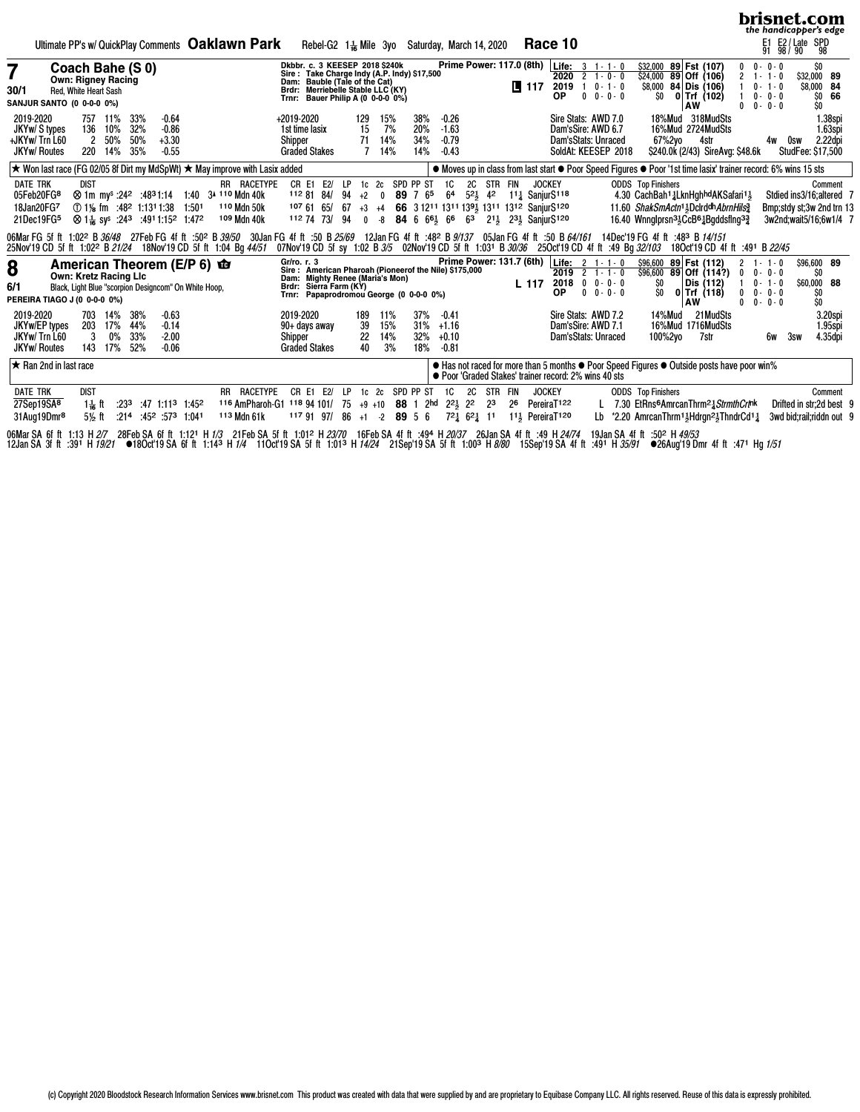|                                                                             |                                                                        |                              |                          |                                                                                                                                                          |                                                                                             |                                         |                                                                             |                                                                          |                                                                                                                                                                         |                    |                                   |                                                                                              |                          |                                          |                                                                      |         |                                                   |                                                                                                                                                                                                                                        |              |                                                                   |                           |                   |                                                                                                                                                                                                                                                         |                        |                                                                         | brisnet.com<br>the handicapper's edge          |                                                                                             |
|-----------------------------------------------------------------------------|------------------------------------------------------------------------|------------------------------|--------------------------|----------------------------------------------------------------------------------------------------------------------------------------------------------|---------------------------------------------------------------------------------------------|-----------------------------------------|-----------------------------------------------------------------------------|--------------------------------------------------------------------------|-------------------------------------------------------------------------------------------------------------------------------------------------------------------------|--------------------|-----------------------------------|----------------------------------------------------------------------------------------------|--------------------------|------------------------------------------|----------------------------------------------------------------------|---------|---------------------------------------------------|----------------------------------------------------------------------------------------------------------------------------------------------------------------------------------------------------------------------------------------|--------------|-------------------------------------------------------------------|---------------------------|-------------------|---------------------------------------------------------------------------------------------------------------------------------------------------------------------------------------------------------------------------------------------------------|------------------------|-------------------------------------------------------------------------|------------------------------------------------|---------------------------------------------------------------------------------------------|
|                                                                             |                                                                        |                              |                          |                                                                                                                                                          |                                                                                             |                                         | Ultimate PP's w/ QuickPlay Comments Oaklawn Park                            |                                                                          | Rebel-G2 $1\frac{1}{16}$ Mile 3yo                                                                                                                                       |                    |                                   |                                                                                              |                          | Saturday, March 14, 2020                 |                                                                      |         |                                                   | Race 10                                                                                                                                                                                                                                |              |                                                                   |                           |                   |                                                                                                                                                                                                                                                         |                        |                                                                         | E1 E2/Late SPD<br>91 98/90 98                  |                                                                                             |
| 7<br>30/1<br><b>SANJUR SANTO (0 0-0-0 0%)</b>                               | Coach Bahe (S 0)<br><b>Own: Rigney Racing</b><br>Red, White Heart Sash |                              |                          |                                                                                                                                                          |                                                                                             |                                         |                                                                             | Dam:<br>Brdr:<br>Trnr:                                                   | Dkbbr. c. 3 KEESEP 2018 \$240k<br>Sire: Take Charge Indy (A.P. Indy) \$17,500<br>Bauble (Tale of the Cat)<br>Merriebelle Stable LLC (KY)<br>Bauer Philip A (0 0-0-0 0%) |                    |                                   |                                                                                              |                          |                                          |                                                                      |         | <b>Prime Power: 117.0 (8th)</b><br>$\sqrt{2}$ 117 | Life:<br>2020<br>2019<br>ΟP                                                                                                                                                                                                            | $\mathbf{0}$ | $3 + 1 - 1 - 0$<br>$2 + 0 - 0$<br>$1 \t 0 - 1 - 0$<br>$0 - 0 - 0$ | \$24,000<br>ŜO.           |                   | \$32,000 89 Fst (107)<br>89 Off (106)<br>$$8,000$ 84 Dis (106)<br>$0$ Trf (102)<br>AW                                                                                                                                                                   | 0<br>$\mathbf{2}$<br>0 | $0 - 0 - 0$<br>$1 - 1 - 0$<br>$0 - 1 - 0$<br>$0 - 0 - 0$<br>$0 - 0 - 0$ | \$O<br>\$32,000 89<br>\$8,000 84<br>SO.<br>\$O | 66                                                                                          |
| 2019-2020<br>JKYw/ S types<br>+JKYw/Trn L60<br><b>JKYw/ Routes</b>          | 136<br>$\overline{2}$<br>220                                           | 757 11%<br>10%<br>50%<br>14% | 33%<br>32%<br>50%<br>35% | $-0.64$<br>$-0.86$<br>$+3.30$<br>$-0.55$                                                                                                                 |                                                                                             |                                         |                                                                             | +2019-2020<br>1st time lasix<br>Shipper                                  | <b>Graded Stakes</b>                                                                                                                                                    |                    | 129<br>15<br>71<br>$\overline{7}$ | 15%<br>7%<br>14%<br>14%                                                                      | 38%<br>20%<br>34%<br>14% | $-0.26$<br>$-1.63$<br>$-0.79$<br>$-0.43$ |                                                                      |         |                                                   | Dam'sSire: AWD 6.7                                                                                                                                                                                                                     |              | Sire Stats: AWD 7.0<br>Dam'sStats: Unraced<br>SoldAt: KEESEP 2018 |                           | 67%2vo            | 18%Mud 318MudSts<br>16%Mud 2724MudSts<br>4str<br>\$240.0k (2/43) SireAvg: \$48.6k                                                                                                                                                                       |                        | 4w                                                                      | Osw<br>StudFee: \$17,500                       | 1.38spi<br>1.63spi<br>2.22dpi                                                               |
|                                                                             |                                                                        |                              |                          |                                                                                                                                                          |                                                                                             |                                         | ★ Won last race (FG 02/05 8f Dirt my MdSpWt) ★ May improve with Lasix added |                                                                          |                                                                                                                                                                         |                    |                                   |                                                                                              |                          |                                          |                                                                      |         |                                                   |                                                                                                                                                                                                                                        |              |                                                                   |                           |                   | ● Moves up in class from last start ● Poor Speed Figures ● Poor '1st time lasix' trainer record: 6% wins 15 sts                                                                                                                                         |                        |                                                                         |                                                |                                                                                             |
| <b>DATE TRK</b><br>05Feb20FG8<br>18Jan20FG7<br>21Dec19FG5                   | <b>DIST</b>                                                            |                              |                          | 1:501 1% fm :48 <sup>2</sup> 1:13 <sup>1</sup> 1:38 1:501<br>⊗ 1 k sy <sup>s</sup> :24 <sup>3</sup> :49 <sup>1</sup> 1:15 <sup>2</sup> 1:47 <sup>2</sup> |                                                                                             | <b>242 :4831:14 1:40 34 110 Mdn 40k</b> | RR RACETYPE<br>110 Mdn 50k<br>109 Mdn 40k                                   | CR E1                                                                    | 1128184/<br>1076165/<br>112 74 73/                                                                                                                                      | E2/ LP<br>94<br>94 | $+2$                              | 1c 2c SPD PP ST<br>$\mathbf 0$<br>$0 - 8$ 84 6 6 <sup>61</sup> / <sub>5</sub> 6 <sup>6</sup> | 89 7 65                  | <b>1C</b><br>6 <sup>4</sup>              | 2C STR FIN<br>63                                                     |         |                                                   | <b>JOCKEY</b><br>521 42 111 SanjurS118<br>67 +3 +4 66 3 1211 1311 1391 1311 1312 SaniurS120<br>211 231 SanjurS120                                                                                                                      |              |                                                                   | <b>ODDS</b> Top Finishers |                   | 4.30 CachBah <sup>1</sup> 1LknHghhdAKSafari <sup>11</sup><br>11.60 ShakSmActn <sup>11</sup> <sub>2</sub> Dclrddh AbrnHils <sup>3</sup><br>16.40 Wnnglprsn <sup>31</sup> <sub>5</sub> CcB <sup>61</sup> <sub>4</sub> Bgddsflng <sup>3</sup> <sub>4</sub> |                        |                                                                         |                                                | Comment<br>Stdied ins3/16; altered 7<br>Bmp;stdy st;3w 2nd trn 13<br>3w2nd;wait5/16;6w1/4 7 |
| 25Nov'19 CD 5f ft 1:02 <sup>2</sup> B 21/24 18Nov'19 CD 5f ft 1:04 Bg 44/51 |                                                                        |                              |                          |                                                                                                                                                          |                                                                                             |                                         |                                                                             |                                                                          |                                                                                                                                                                         |                    |                                   |                                                                                              |                          |                                          |                                                                      |         |                                                   | 06MarFG 5f ft 1:02º B 36/48 27FebFG 4f ft :50º B 39/50 30JanFG 4f ft :50 B 25/69 12JanFG 4f ft :48º B 9/137 05JanFG 4f ft :50 B 64/161<br>07Nov'19 CD 5f sy 1:02 B 3/5 02Nov'19 CD 5f ft 1:031 B 30/36 25Oct'19 CD 4f ft :49 Bq 32/103 |              |                                                                   |                           |                   | 14Dec'19 FG 4f ft :483 B 14/151<br>18Oct'19 CD 4f ft :491 B 22/45                                                                                                                                                                                       |                        |                                                                         |                                                |                                                                                             |
| 8<br>6/1<br>PEREIRA TIAGO J (0 0-0-0 0%)                                    | <b>Own: Kretz Racing Llc</b>                                           |                              |                          |                                                                                                                                                          | American Theorem (E/P 6) <b>to</b><br>Black, Light Blue "scorpion Designcom" On White Hoop, |                                         |                                                                             | Gr/ro. r. 3<br>Dam: Mighty Renee (Maria's Mon)<br>Brdr: Sierra Farm (KY) | Sire: American Pharoah (Pioneerof the Nile) \$175,000<br>Trnr: Papaprodromou George (0 0-0-0 0%)                                                                        |                    |                                   |                                                                                              |                          |                                          |                                                                      |         | L 117                                             | Prime Power: 131.7 (6th) Life: 2 1-1-0<br><b>OP</b>                                                                                                                                                                                    |              | $2019$ 2 1 - 1 - 0<br>$2018$ 0 0 - 0 - 0<br>$0 \t 0 - 0 - 0$      | SO.<br>SO.                |                   | $$96,600$ 89 Fst (112)<br>$$96,600$ 89 Off $(114?)$<br>Dis (112)<br>$0$ Trf (118)<br>AW                                                                                                                                                                 | $\mathbf{0}$<br>0<br>0 | $1 - 1 - 0$<br>$0 - 0 - 0$<br>$0 - 1 - 0$<br>$0 - 0 - 0$<br>$0 - 0 - 0$ | \$96,600 89<br>\$O<br>\$60,000 88<br>SO<br>\$O |                                                                                             |
| 2019-2020<br>JKYw/EP types<br>JKYw/Trn L60<br><b>JKYw/ Routes</b>           | 703<br>203<br>3<br>143                                                 | 14%<br>17%<br>0%<br>17%      | 38%<br>44%<br>33%<br>52% | $-0.63$<br>$-0.14$<br>$-2.00$<br>$-0.06$                                                                                                                 |                                                                                             |                                         |                                                                             | 2019-2020<br>Shipper                                                     | 90+ days away<br><b>Graded Stakes</b>                                                                                                                                   |                    | 189<br>39<br>22<br>40             | 11%<br>15%<br>14%<br>3%                                                                      | 37%<br>31%<br>32%<br>18% | $-0.41$<br>$+1.16$<br>$+0.10$<br>$-0.81$ |                                                                      |         |                                                   | Dam'sSire: AWD 7.1                                                                                                                                                                                                                     |              | Sire Stats: AWD 7.2<br>Dam'sStats: Unraced                        |                           | 14%Mud<br>100%2yo | 21 MudSts<br>16%Mud 1716MudSts<br>7str                                                                                                                                                                                                                  |                        | 6w                                                                      | 3sw                                            | 3.20spi<br>1.95spi<br>4.35dpi                                                               |
| $\star$ Ran 2nd in last race                                                |                                                                        |                              |                          |                                                                                                                                                          |                                                                                             |                                         |                                                                             |                                                                          |                                                                                                                                                                         |                    |                                   |                                                                                              |                          |                                          |                                                                      |         |                                                   | ● Poor 'Graded Stakes' trainer record: 2% wins 40 sts                                                                                                                                                                                  |              |                                                                   |                           |                   | • Has not raced for more than 5 months • Poor Speed Figures • Outside posts have poor win%                                                                                                                                                              |                        |                                                                         |                                                |                                                                                             |
| <b>DATE TRK</b>                                                             | dist                                                                   |                              |                          |                                                                                                                                                          |                                                                                             |                                         | RR RACETYPE                                                                 | CR E1                                                                    | E2/                                                                                                                                                                     | LP                 | 1c                                | 2c                                                                                           | SPD PP ST                | 1C                                       | 2C                                                                   | STR FIN |                                                   | <b>JOCKEY</b>                                                                                                                                                                                                                          |              |                                                                   | <b>ODDS</b> Top Finishers |                   |                                                                                                                                                                                                                                                         |                        |                                                                         |                                                | Comment                                                                                     |
| 27Sep19SA <sup>8</sup><br>31Aug19Dmr <sup>8</sup>                           | $1\frac{1}{16}$ ft<br>$5\frac{1}{2}$ ft                                | :233                         |                          | $:47$ 1:11 <sup>3</sup> 1:45 <sup>2</sup><br>$:21^4$ $:45^2$ $:57^3$ 1:041                                                                               |                                                                                             |                                         | 116 AmPharoh-G1 118 94 101/<br>113 Mdn 61k                                  |                                                                          | 1179197                                                                                                                                                                 | -75<br>86          | $+9$ +10<br>$+1$ $-2$             |                                                                                              | 88 1 2hd<br>89 5 6       | $2^{21}$                                 | $2^2$<br>$72\frac{1}{4}$ 6 <sup>2</sup> $\frac{1}{4}$ 1 <sup>1</sup> | 23      | 26                                                | PereiraT <sub>122</sub><br>1 <sup>1</sup> <sup>3</sup> PereiraT <sup>120</sup>                                                                                                                                                         |              | Lb                                                                |                           |                   | 7.30 EtRns <sup>6</sup> AmrcanThrm <sup>2</sup> 3 Strmth Crtnk<br>*2.20 AmrcanThrm <sup>11</sup> }Hdrgn <sup>21</sup> <sub>3</sub> ThndrCd <sup>1</sup> 1                                                                                               |                        |                                                                         |                                                | Drifted in str;2d best 9<br>3wd bid; rail; riddn out 9                                      |

06Mar SA 6f ft 1:13 H*2/*7 28Feb SA 6f ft 1:12ª H*1/3* 21Feb SA 5f ft 1:01º H*23/70* 16Feb SA 4f ft :49ª H*20/37* 26Jan SA 4f ft :49 H*24/74* 19Jan SA 4f ft :50º H*49/53*<br>12Jan SA 3f ft :39ª H*19/21* ●18Oct'19 SA 6f ft 1: